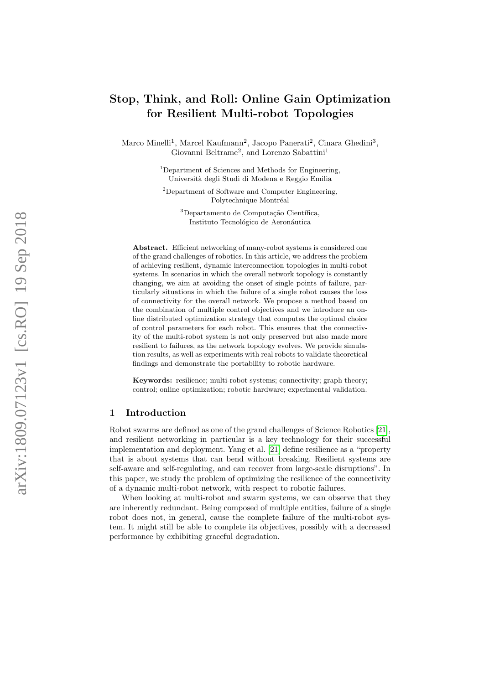# Stop, Think, and Roll: Online Gain Optimization for Resilient Multi-robot Topologies

Marco Minelli<sup>1</sup>, Marcel Kaufmann<sup>2</sup>, Jacopo Panerati<sup>2</sup>, Cinara Ghedini<sup>3</sup>, Giovanni Beltrame<sup>2</sup>, and Lorenzo Sabattini<sup>1</sup>

> <sup>1</sup>Department of Sciences and Methods for Engineering, Universit`a degli Studi di Modena e Reggio Emilia

<sup>2</sup>Department of Software and Computer Engineering, Polytechnique Montréal

> $3$ Departamento de Computação Científica, Instituto Tecnológico de Aeronáutica

Abstract. Efficient networking of many-robot systems is considered one of the grand challenges of robotics. In this article, we address the problem of achieving resilient, dynamic interconnection topologies in multi-robot systems. In scenarios in which the overall network topology is constantly changing, we aim at avoiding the onset of single points of failure, particularly situations in which the failure of a single robot causes the loss of connectivity for the overall network. We propose a method based on the combination of multiple control objectives and we introduce an online distributed optimization strategy that computes the optimal choice of control parameters for each robot. This ensures that the connectivity of the multi-robot system is not only preserved but also made more resilient to failures, as the network topology evolves. We provide simulation results, as well as experiments with real robots to validate theoretical findings and demonstrate the portability to robotic hardware.

Keywords: resilience; multi-robot systems; connectivity; graph theory; control; online optimization; robotic hardware; experimental validation.

### 1 Introduction

Robot swarms are defined as one of the grand challenges of Science Robotics [\[21\]](#page-13-0), and resilient networking in particular is a key technology for their successful implementation and deployment. Yang et al. [\[21\]](#page-13-0) define resilience as a "property that is about systems that can bend without breaking. Resilient systems are self-aware and self-regulating, and can recover from large-scale disruptions". In this paper, we study the problem of optimizing the resilience of the connectivity of a dynamic multi-robot network, with respect to robotic failures.

When looking at multi-robot and swarm systems, we can observe that they are inherently redundant. Being composed of multiple entities, failure of a single robot does not, in general, cause the complete failure of the multi-robot system. It might still be able to complete its objectives, possibly with a decreased performance by exhibiting graceful degradation.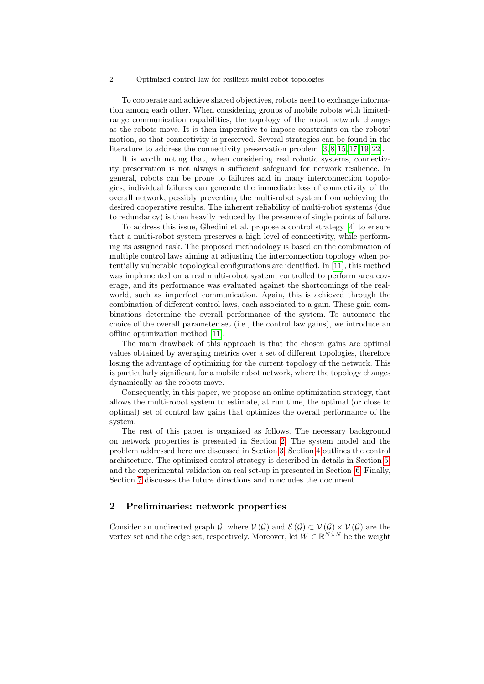To cooperate and achieve shared objectives, robots need to exchange information among each other. When considering groups of mobile robots with limitedrange communication capabilities, the topology of the robot network changes as the robots move. It is then imperative to impose constraints on the robots' motion, so that connectivity is preserved. Several strategies can be found in the literature to address the connectivity preservation problem [\[3,](#page-12-0) [8,](#page-12-1) [15,](#page-12-2) [17,](#page-12-3) [19,](#page-13-1) [22\]](#page-13-2).

It is worth noting that, when considering real robotic systems, connectivity preservation is not always a sufficient safeguard for network resilience. In general, robots can be prone to failures and in many interconnection topologies, individual failures can generate the immediate loss of connectivity of the overall network, possibly preventing the multi-robot system from achieving the desired cooperative results. The inherent reliability of multi-robot systems (due to redundancy) is then heavily reduced by the presence of single points of failure.

To address this issue, Ghedini et al. propose a control strategy [\[4\]](#page-12-4) to ensure that a multi-robot system preserves a high level of connectivity, while performing its assigned task. The proposed methodology is based on the combination of multiple control laws aiming at adjusting the interconnection topology when potentially vulnerable topological configurations are identified. In [\[11\]](#page-12-5), this method was implemented on a real multi-robot system, controlled to perform area coverage, and its performance was evaluated against the shortcomings of the realworld, such as imperfect communication. Again, this is achieved through the combination of different control laws, each associated to a gain. These gain combinations determine the overall performance of the system. To automate the choice of the overall parameter set (i.e., the control law gains), we introduce an offline optimization method [\[11\]](#page-12-5).

The main drawback of this approach is that the chosen gains are optimal values obtained by averaging metrics over a set of different topologies, therefore losing the advantage of optimizing for the current topology of the network. This is particularly significant for a mobile robot network, where the topology changes dynamically as the robots move.

Consequently, in this paper, we propose an online optimization strategy, that allows the multi-robot system to estimate, at run time, the optimal (or close to optimal) set of control law gains that optimizes the overall performance of the system.

The rest of this paper is organized as follows. The necessary background on network properties is presented in Section [2.](#page-1-0) The system model and the problem addressed here are discussed in Section [3.](#page-3-0) Section [4](#page-4-0) outlines the control architecture. The optimized control strategy is described in details in Section [5,](#page-6-0) and the experimental validation on real set-up in presented in Section [6.](#page-9-0) Finally, Section [7](#page-11-0) discusses the future directions and concludes the document.

# <span id="page-1-0"></span>2 Preliminaries: network properties

Consider an undirected graph G, where  $V(G)$  and  $\mathcal{E}(G) \subset V(G) \times V(G)$  are the vertex set and the edge set, respectively. Moreover, let  $W \in \mathbb{R}^{N \times N}$  be the weight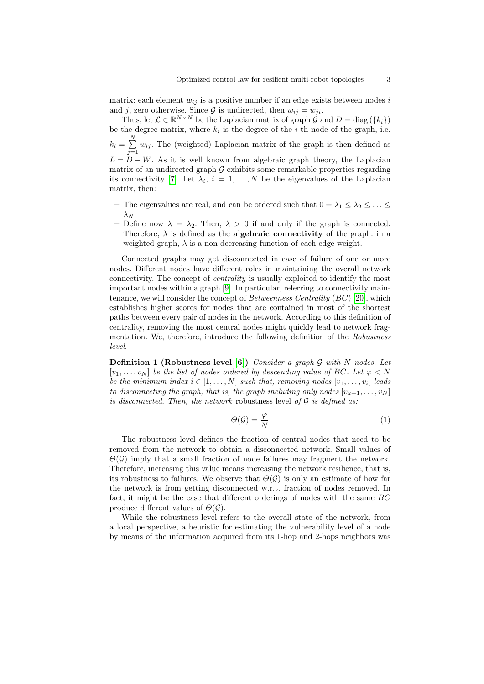matrix: each element  $w_{ij}$  is a positive number if an edge exists between nodes i and j, zero otherwise. Since  $\mathcal G$  is undirected, then  $w_{ij} = w_{ji}$ .

Thus, let  $\mathcal{L} \in \mathbb{R}^{N \times N}$  be the Laplacian matrix of graph  $\mathcal{G}$  and  $D = \text{diag}(\{k_i\})$ be the degree matrix, where  $k_i$  is the degree of the *i*-th node of the graph, i.e.  $k_i = \sum^N$  $\sum_{j=1} w_{ij}$ . The (weighted) Laplacian matrix of the graph is then defined as  $L = D - W$ . As it is well known from algebraic graph theory, the Laplacian matrix of an undirected graph  $G$  exhibits some remarkable properties regarding its connectivity [\[7\]](#page-12-6). Let  $\lambda_i$ ,  $i = 1, ..., N$  be the eigenvalues of the Laplacian matrix, then:

- The eigenvalues are real, and can be ordered such that  $0 = \lambda_1 \leq \lambda_2 \leq \ldots \leq$  $\lambda_N$
- Define now  $\lambda = \lambda_2$ . Then,  $\lambda > 0$  if and only if the graph is connected. Therefore,  $\lambda$  is defined as the **algebraic connectivity** of the graph: in a weighted graph,  $\lambda$  is a non-decreasing function of each edge weight.

Connected graphs may get disconnected in case of failure of one or more nodes. Different nodes have different roles in maintaining the overall network connectivity. The concept of centrality is usually exploited to identify the most important nodes within a graph [\[9\]](#page-12-7). In particular, referring to connectivity maintenance, we will consider the concept of *Betweenness Centrality*  $(BC)$  [\[20\]](#page-13-3), which establishes higher scores for nodes that are contained in most of the shortest paths between every pair of nodes in the network. According to this definition of centrality, removing the most central nodes might quickly lead to network fragmentation. We, therefore, introduce the following definition of the Robustness level.

**Definition 1 (Robustness level [\[6\]](#page-12-8))** Consider a graph  $G$  with N nodes. Let  $[v_1, \ldots, v_N]$  be the list of nodes ordered by descending value of BC. Let  $\varphi \langle N \rangle$ be the minimum index  $i \in [1, \ldots, N]$  such that, removing nodes  $[v_1, \ldots, v_i]$  leads to disconnecting the graph, that is, the graph including only nodes  $[v_{\varphi+1},...,v_N]$ is disconnected. Then, the network robustness level of  $G$  is defined as:

$$
\Theta(\mathcal{G}) = \frac{\varphi}{N} \tag{1}
$$

The robustness level defines the fraction of central nodes that need to be removed from the network to obtain a disconnected network. Small values of  $\Theta(\mathcal{G})$  imply that a small fraction of node failures may fragment the network. Therefore, increasing this value means increasing the network resilience, that is, its robustness to failures. We observe that  $\Theta(\mathcal{G})$  is only an estimate of how far the network is from getting disconnected w.r.t. fraction of nodes removed. In fact, it might be the case that different orderings of nodes with the same BC produce different values of  $\Theta(\mathcal{G})$ .

While the robustness level refers to the overall state of the network, from a local perspective, a heuristic for estimating the vulnerability level of a node by means of the information acquired from its 1-hop and 2-hops neighbors was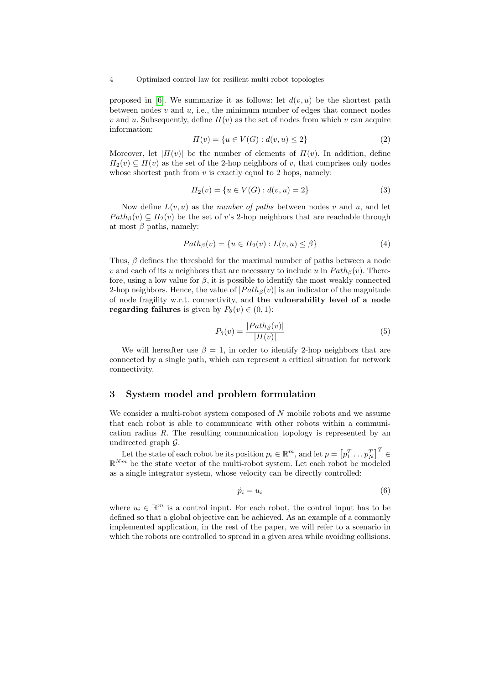proposed in [\[6\]](#page-12-8). We summarize it as follows: let  $d(v, u)$  be the shortest path between nodes  $v$  and  $u$ , i.e., the minimum number of edges that connect nodes v and u. Subsequently, define  $\Pi(v)$  as the set of nodes from which v can acquire information:

$$
\Pi(v) = \{ u \in V(G) : d(v, u) \le 2 \}
$$
\n(2)

Moreover, let  $|H(v)|$  be the number of elements of  $H(v)$ . In addition, define  $\Pi_2(v) \subseteq \Pi(v)$  as the set of the 2-hop neighbors of v, that comprises only nodes whose shortest path from  $v$  is exactly equal to 2 hops, namely:

$$
\Pi_2(v) = \{ u \in V(G) : d(v, u) = 2 \}
$$
\n(3)

Now define  $L(v, u)$  as the *number of paths* between nodes v and u, and let  $Path_{\beta}(v) \subseteq \Pi_2(v)$  be the set of v's 2-hop neighbors that are reachable through at most  $\beta$  paths, namely:

$$
Path_{\beta}(v) = \{u \in \Pi_2(v) : L(v, u) \le \beta\}
$$
\n
$$
(4)
$$

Thus,  $\beta$  defines the threshold for the maximal number of paths between a node v and each of its u neighbors that are necessary to include u in  $Path_{\beta}(v)$ . Therefore, using a low value for  $\beta$ , it is possible to identify the most weakly connected 2-hop neighbors. Hence, the value of  $|Path_{\beta}(v)|$  is an indicator of the magnitude of node fragility w.r.t. connectivity, and the vulnerability level of a node regarding failures is given by  $P_{\theta}(v) \in (0,1)$ :

<span id="page-3-2"></span>
$$
P_{\theta}(v) = \frac{|Path_{\beta}(v)|}{|H(v)|} \tag{5}
$$

We will hereafter use  $\beta = 1$ , in order to identify 2-hop neighbors that are connected by a single path, which can represent a critical situation for network connectivity.

### <span id="page-3-0"></span>3 System model and problem formulation

We consider a multi-robot system composed of  $N$  mobile robots and we assume that each robot is able to communicate with other robots within a communication radius  $R$ . The resulting communication topology is represented by an undirected graph  $\mathcal{G}$ .

Let the state of each robot be its position  $p_i \in \mathbb{R}^m$ , and let  $p = [p_1^T \dots p_N^T]^T$  $\mathbb{R}^{Nm}$  be the state vector of the multi-robot system. Let each robot be modeled as a single integrator system, whose velocity can be directly controlled:

<span id="page-3-1"></span>
$$
\dot{p}_i = u_i \tag{6}
$$

where  $u_i \in \mathbb{R}^m$  is a control input. For each robot, the control input has to be defined so that a global objective can be achieved. As an example of a commonly implemented application, in the rest of the paper, we will refer to a scenario in which the robots are controlled to spread in a given area while avoiding collisions.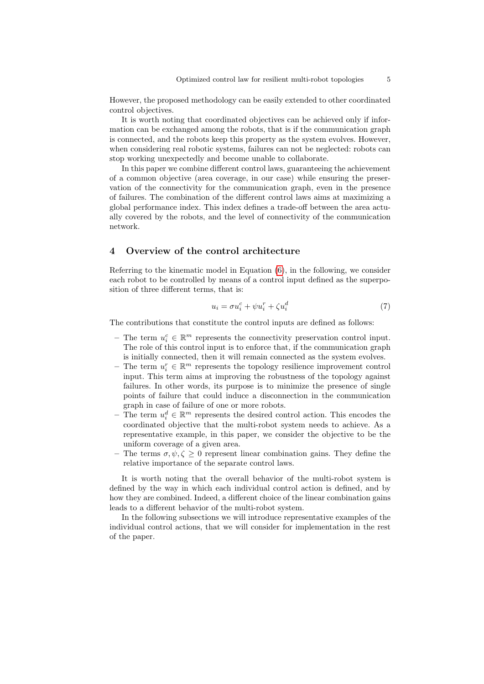However, the proposed methodology can be easily extended to other coordinated control objectives.

It is worth noting that coordinated objectives can be achieved only if information can be exchanged among the robots, that is if the communication graph is connected, and the robots keep this property as the system evolves. However, when considering real robotic systems, failures can not be neglected: robots can stop working unexpectedly and become unable to collaborate.

In this paper we combine different control laws, guaranteeing the achievement of a common objective (area coverage, in our case) while ensuring the preservation of the connectivity for the communication graph, even in the presence of failures. The combination of the different control laws aims at maximizing a global performance index. This index defines a trade-off between the area actually covered by the robots, and the level of connectivity of the communication network.

### <span id="page-4-0"></span>4 Overview of the control architecture

Referring to the kinematic model in Equation [\(6\)](#page-3-1), in the following, we consider each robot to be controlled by means of a control input defined as the superposition of three different terms, that is:

<span id="page-4-1"></span>
$$
u_i = \sigma u_i^c + \psi u_i^r + \zeta u_i^d \tag{7}
$$

The contributions that constitute the control inputs are defined as follows:

- The term  $u_i^c \in \mathbb{R}^m$  represents the connectivity preservation control input. The role of this control input is to enforce that, if the communication graph is initially connected, then it will remain connected as the system evolves.
- − The term  $u_i^r$  ∈  $\mathbb{R}^m$  represents the topology resilience improvement control input. This term aims at improving the robustness of the topology against failures. In other words, its purpose is to minimize the presence of single points of failure that could induce a disconnection in the communication graph in case of failure of one or more robots.
- The term  $u_i^d \in \mathbb{R}^m$  represents the desired control action. This encodes the coordinated objective that the multi-robot system needs to achieve. As a representative example, in this paper, we consider the objective to be the uniform coverage of a given area.
- The terms  $\sigma, \psi, \zeta \geq 0$  represent linear combination gains. They define the relative importance of the separate control laws.

It is worth noting that the overall behavior of the multi-robot system is defined by the way in which each individual control action is defined, and by how they are combined. Indeed, a different choice of the linear combination gains leads to a different behavior of the multi-robot system.

In the following subsections we will introduce representative examples of the individual control actions, that we will consider for implementation in the rest of the paper.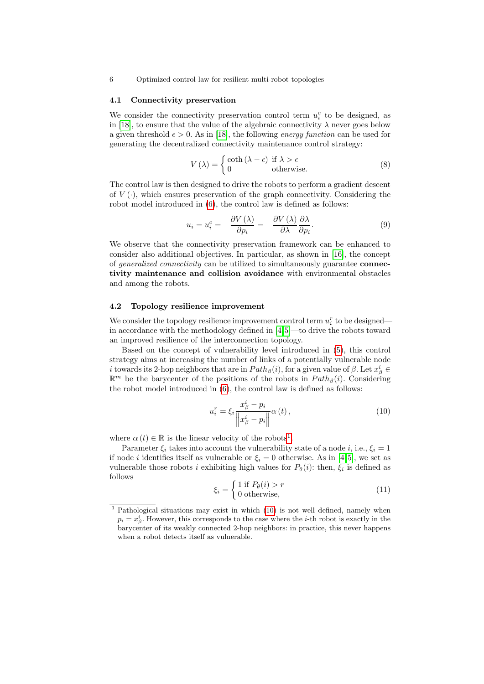#### 4.1 Connectivity preservation

We consider the connectivity preservation control term  $u_i^c$  to be designed, as in [\[18\]](#page-12-9), to ensure that the value of the algebraic connectivity  $\lambda$  never goes below a given threshold  $\epsilon > 0$ . As in [\[18\]](#page-12-9), the following *energy function* can be used for generating the decentralized connectivity maintenance control strategy:

$$
V(\lambda) = \begin{cases} \coth(\lambda - \epsilon) & \text{if } \lambda > \epsilon \\ 0 & \text{otherwise.} \end{cases}
$$
 (8)

The control law is then designed to drive the robots to perform a gradient descent of  $V(\cdot)$ , which ensures preservation of the graph connectivity. Considering the robot model introduced in [\(6\)](#page-3-1), the control law is defined as follows:

$$
u_i = u_i^c = -\frac{\partial V(\lambda)}{\partial p_i} = -\frac{\partial V(\lambda)}{\partial \lambda} \frac{\partial \lambda}{\partial p_i}.
$$
 (9)

We observe that the connectivity preservation framework can be enhanced to consider also additional objectives. In particular, as shown in [\[16\]](#page-12-10), the concept of *generalized connectivity* can be utilized to simultaneously guarantee **connec**tivity maintenance and collision avoidance with environmental obstacles and among the robots.

### 4.2 Topology resilience improvement

We consider the topology resilience improvement control term  $u_i^r$  to be designed in accordance with the methodology defined in [\[4,](#page-12-4)[5\]](#page-12-11)—to drive the robots toward an improved resilience of the interconnection topology.

Based on the concept of vulnerability level introduced in [\(5\)](#page-3-2), this control strategy aims at increasing the number of links of a potentially vulnerable node *i* towards its 2-hop neighbors that are in  $Path_\beta(i)$ , for a given value of  $\beta$ . Let  $x^i_\beta \in$  $\mathbb{R}^m$  be the barycenter of the positions of the robots in  $Path_\beta(i)$ . Considering the robot model introduced in [\(6\)](#page-3-1), the control law is defined as follows:

<span id="page-5-1"></span>
$$
u_i^r = \xi_i \frac{x_{\beta}^i - p_i}{\left\| x_{\beta}^i - p_i \right\|} \alpha(t), \qquad (10)
$$

where  $\alpha(t) \in \mathbb{R}$  is the linear velocity of the robots<sup>[1](#page-5-0)</sup>.

Parameter  $\xi_i$  takes into account the vulnerability state of a node i, i.e.,  $\xi_i = 1$ if node *i* identifies itself as vulnerable or  $\xi_i = 0$  otherwise. As in [\[4,](#page-12-4)5], we set as vulnerable those robots *i* exhibiting high values for  $P_{\theta}(i)$ : then,  $\xi_i$  is defined as follows

$$
\xi_i = \begin{cases} 1 \text{ if } P_\theta(i) > r \\ 0 \text{ otherwise,} \end{cases} \tag{11}
$$

<span id="page-5-0"></span><sup>&</sup>lt;sup>1</sup> Pathological situations may exist in which [\(10\)](#page-5-1) is not well defined, namely when  $p_i = x_{\beta}^i$ . However, this corresponds to the case where the *i*-th robot is exactly in the barycenter of its weakly connected 2-hop neighbors: in practice, this never happens when a robot detects itself as vulnerable.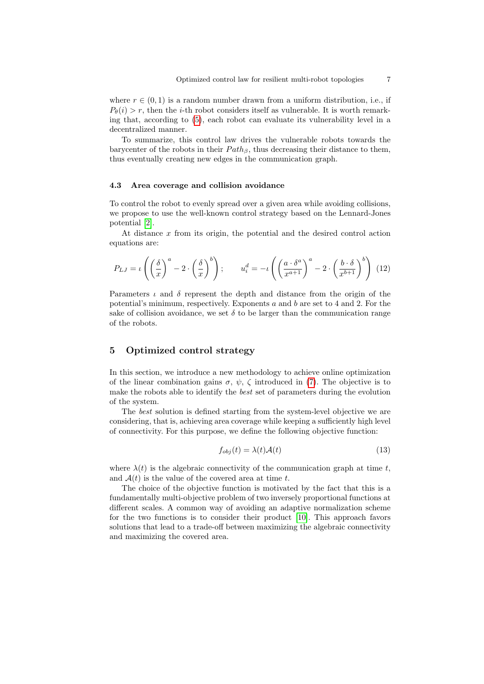where  $r \in (0, 1)$  is a random number drawn from a uniform distribution, i.e., if  $P_{\theta}(i) > r$ , then the *i*-th robot considers itself as vulnerable. It is worth remarking that, according to [\(5\)](#page-3-2), each robot can evaluate its vulnerability level in a decentralized manner.

To summarize, this control law drives the vulnerable robots towards the barycenter of the robots in their  $Path_\beta$ , thus decreasing their distance to them, thus eventually creating new edges in the communication graph.

#### 4.3 Area coverage and collision avoidance

To control the robot to evenly spread over a given area while avoiding collisions, we propose to use the well-known control strategy based on the Lennard-Jones potential [\[2\]](#page-12-12).

At distance  $x$  from its origin, the potential and the desired control action equations are:

$$
P_{LJ} = \iota\left(\left(\frac{\delta}{x}\right)^a - 2\cdot\left(\frac{\delta}{x}\right)^b\right); \qquad u_i^d = -\iota\left(\left(\frac{a\cdot\delta^a}{x^{a+1}}\right)^a - 2\cdot\left(\frac{b\cdot\delta}{x^{b+1}}\right)^b\right) \tag{12}
$$

Parameters  $\iota$  and  $\delta$  represent the depth and distance from the origin of the potential's minimum, respectively. Exponents a and b are set to 4 and 2. For the sake of collision avoidance, we set  $\delta$  to be larger than the communication range of the robots.

# <span id="page-6-0"></span>5 Optimized control strategy

In this section, we introduce a new methodology to achieve online optimization of the linear combination gains  $\sigma$ ,  $\psi$ ,  $\zeta$  introduced in [\(7\)](#page-4-1). The objective is to make the robots able to identify the best set of parameters during the evolution of the system.

The best solution is defined starting from the system-level objective we are considering, that is, achieving area coverage while keeping a sufficiently high level of connectivity. For this purpose, we define the following objective function:

<span id="page-6-1"></span>
$$
f_{obj}(t) = \lambda(t)\mathcal{A}(t)
$$
\n(13)

where  $\lambda(t)$  is the algebraic connectivity of the communication graph at time t, and  $A(t)$  is the value of the covered area at time t.

The choice of the objective function is motivated by the fact that this is a fundamentally multi-objective problem of two inversely proportional functions at different scales. A common way of avoiding an adaptive normalization scheme for the two functions is to consider their product [\[10\]](#page-12-13). This approach favors solutions that lead to a trade-off between maximizing the algebraic connectivity and maximizing the covered area.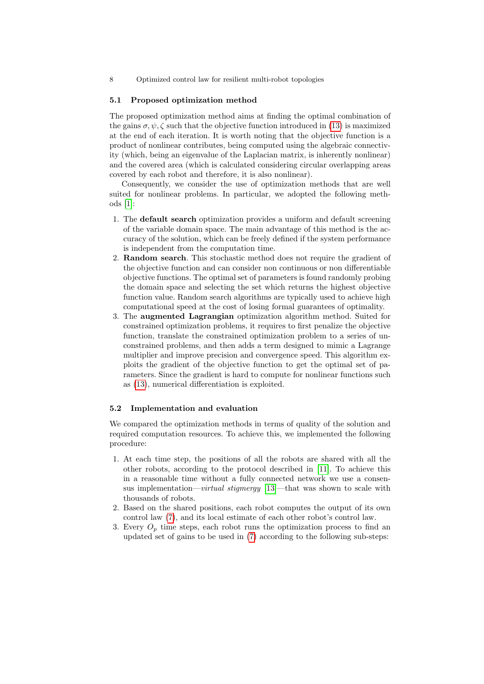### <span id="page-7-0"></span>5.1 Proposed optimization method

The proposed optimization method aims at finding the optimal combination of the gains  $\sigma, \psi, \zeta$  such that the objective function introduced in [\(13\)](#page-6-1) is maximized at the end of each iteration. It is worth noting that the objective function is a product of nonlinear contributes, being computed using the algebraic connectivity (which, being an eigenvalue of the Laplacian matrix, is inherently nonlinear) and the covered area (which is calculated considering circular overlapping areas covered by each robot and therefore, it is also nonlinear).

Consequently, we consider the use of optimization methods that are well suited for nonlinear problems. In particular, we adopted the following methods [\[1\]](#page-12-14):

- 1. The default search optimization provides a uniform and default screening of the variable domain space. The main advantage of this method is the accuracy of the solution, which can be freely defined if the system performance is independent from the computation time.
- 2. Random search. This stochastic method does not require the gradient of the objective function and can consider non continuous or non differentiable objective functions. The optimal set of parameters is found randomly probing the domain space and selecting the set which returns the highest objective function value. Random search algorithms are typically used to achieve high computational speed at the cost of losing formal guarantees of optimality.
- 3. The augmented Lagrangian optimization algorithm method. Suited for constrained optimization problems, it requires to first penalize the objective function, translate the constrained optimization problem to a series of unconstrained problems, and then adds a term designed to mimic a Lagrange multiplier and improve precision and convergence speed. This algorithm exploits the gradient of the objective function to get the optimal set of parameters. Since the gradient is hard to compute for nonlinear functions such as [\(13\)](#page-6-1), numerical differentiation is exploited.

### <span id="page-7-1"></span>5.2 Implementation and evaluation

We compared the optimization methods in terms of quality of the solution and required computation resources. To achieve this, we implemented the following procedure:

- 1. At each time step, the positions of all the robots are shared with all the other robots, according to the protocol described in [\[11\]](#page-12-5). To achieve this in a reasonable time without a fully connected network we use a consensus implementation—virtual stigmergy [\[13\]](#page-12-15)—that was shown to scale with thousands of robots.
- 2. Based on the shared positions, each robot computes the output of its own control law [\(7\)](#page-4-1), and its local estimate of each other robot's control law.
- 3. Every  $O_p$  time steps, each robot runs the optimization process to find an updated set of gains to be used in [\(7\)](#page-4-1) according to the following sub-steps: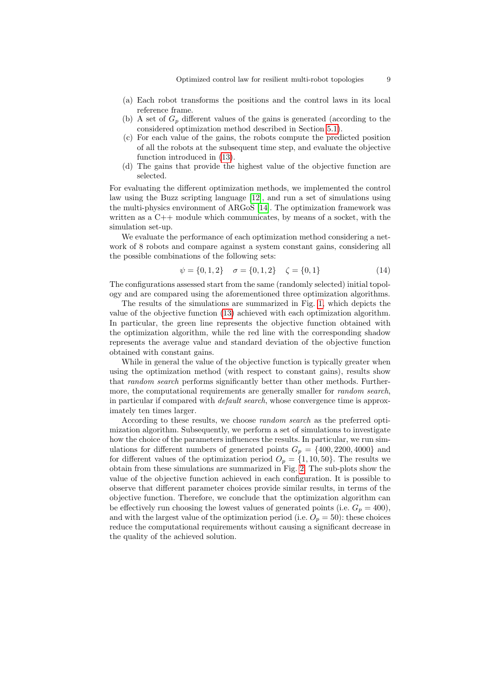- (a) Each robot transforms the positions and the control laws in its local reference frame.
- (b) A set of  $G_p$  different values of the gains is generated (according to the considered optimization method described in Section [5.1\)](#page-7-0).
- (c) For each value of the gains, the robots compute the predicted position of all the robots at the subsequent time step, and evaluate the objective function introduced in [\(13\)](#page-6-1).
- (d) The gains that provide the highest value of the objective function are selected.

For evaluating the different optimization methods, we implemented the control law using the Buzz scripting language [\[12\]](#page-12-16), and run a set of simulations using the multi-physics environment of ARGoS [\[14\]](#page-12-17). The optimization framework was written as a  $C++$  module which communicates, by means of a socket, with the simulation set-up.

We evaluate the performance of each optimization method considering a network of 8 robots and compare against a system constant gains, considering all the possible combinations of the following sets:

$$
\psi = \{0, 1, 2\} \quad \sigma = \{0, 1, 2\} \quad \zeta = \{0, 1\} \tag{14}
$$

The configurations assessed start from the same (randomly selected) initial topology and are compared using the aforementioned three optimization algorithms.

The results of the simulations are summarized in Fig. [1,](#page-9-1) which depicts the value of the objective function [\(13\)](#page-6-1) achieved with each optimization algorithm. In particular, the green line represents the objective function obtained with the optimization algorithm, while the red line with the corresponding shadow represents the average value and standard deviation of the objective function obtained with constant gains.

While in general the value of the objective function is typically greater when using the optimization method (with respect to constant gains), results show that random search performs significantly better than other methods. Furthermore, the computational requirements are generally smaller for *random search*, in particular if compared with default search, whose convergence time is approximately ten times larger.

According to these results, we choose random search as the preferred optimization algorithm. Subsequently, we perform a set of simulations to investigate how the choice of the parameters influences the results. In particular, we run simulations for different numbers of generated points  $G_p = \{400, 2200, 4000\}$  and for different values of the optimization period  $O_p = \{1, 10, 50\}$ . The results we obtain from these simulations are summarized in Fig. [2.](#page-10-0) The sub-plots show the value of the objective function achieved in each configuration. It is possible to observe that different parameter choices provide similar results, in terms of the objective function. Therefore, we conclude that the optimization algorithm can be effectively run choosing the lowest values of generated points (i.e.  $G_p = 400$ ), and with the largest value of the optimization period (i.e.  $O_p = 50$ ): these choices reduce the computational requirements without causing a significant decrease in the quality of the achieved solution.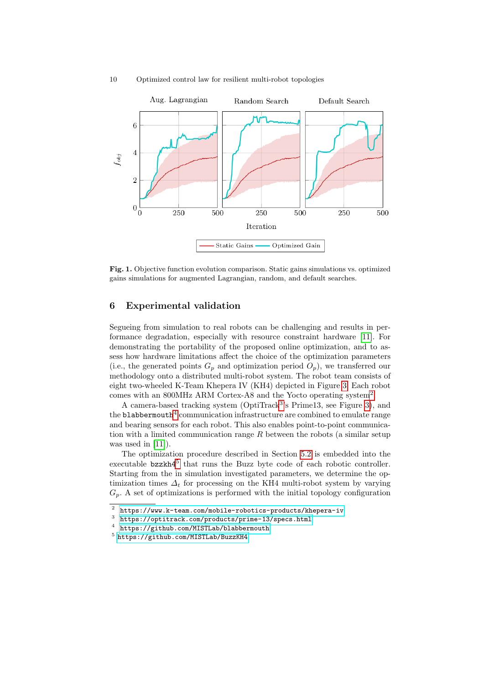

<span id="page-9-1"></span>Fig. 1. Objective function evolution comparison. Static gains simulations vs. optimized gains simulations for augmented Lagrangian, random, and default searches.

# <span id="page-9-0"></span>6 Experimental validation

Segueing from simulation to real robots can be challenging and results in performance degradation, especially with resource constraint hardware [\[11\]](#page-12-5). For demonstrating the portability of the proposed online optimization, and to assess how hardware limitations affect the choice of the optimization parameters (i.e., the generated points  $G_p$  and optimization period  $O_p$ ), we transferred our methodology onto a distributed multi-robot system. The robot team consists of eight two-wheeled K-Team Khepera IV (KH4) depicted in Figure [3.](#page-10-1) Each robot comes with an 800MHz ARM Cortex-A8 and the Yocto operating system<sup>[2](#page-9-2)</sup>.

A camera-based tracking system (OptiTrack<sup>[3](#page-9-3)</sup>'s Prime13, see Figure [3\)](#page-10-1), and the blabbermouth<sup>[4](#page-9-4)</sup> communication infrastructure are combined to emulate range and bearing sensors for each robot. This also enables point-to-point communication with a limited communication range  $R$  between the robots (a similar setup was used in [\[11\]](#page-12-5)).

The optimization procedure described in Section [5.2](#page-7-1) is embedded into the executable **bzzkh**4<sup>[5](#page-9-5)</sup> that runs the Buzz byte code of each robotic controller. Starting from the in simulation investigated parameters, we determine the optimization times  $\Delta_t$  for processing on the KH4 multi-robot system by varying  $G_p$ . A set of optimizations is performed with the initial topology configuration

<span id="page-9-2"></span> $^2$  <https://www.k-team.com/mobile-robotics-products/khepera-iv>

<span id="page-9-3"></span><sup>3</sup> <https://optitrack.com/products/prime-13/specs.html>

<span id="page-9-4"></span><sup>4</sup> <https://github.com/MISTLab/blabbermouth>

<span id="page-9-5"></span><sup>5</sup> <https://github.com/MISTLab/BuzzKH4>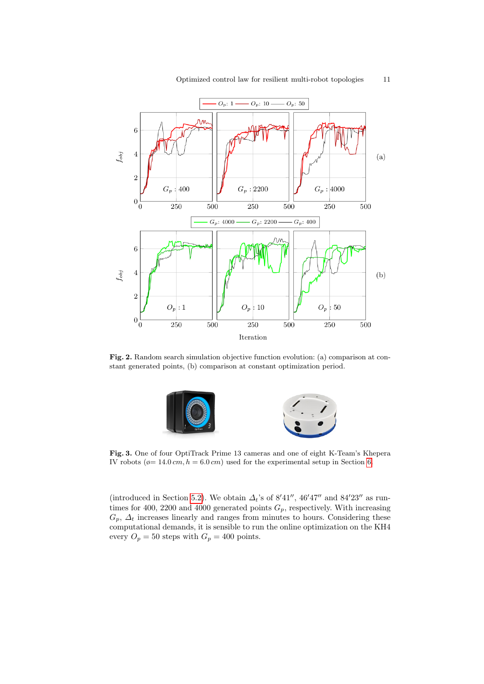

<span id="page-10-0"></span>Fig. 2. Random search simulation objective function evolution: (a) comparison at constant generated points, (b) comparison at constant optimization period.



<span id="page-10-1"></span>Fig. 3. One of four OptiTrack Prime 13 cameras and one of eight K-Team's Khepera IV robots ( $\phi = 14.0 \, \text{cm}, h = 6.0 \, \text{cm}$  $\phi = 14.0 \, \text{cm}, h = 6.0 \, \text{cm}$  $\phi = 14.0 \, \text{cm}, h = 6.0 \, \text{cm}$ ) used for the experimental setup in Section 6.

(introduced in Section [5.2\)](#page-7-1). We obtain  $\Delta_t$ 's of 8'41", 46'47" and 84'23" as runtimes for 400, 2200 and 4000 generated points  $G_p$ , respectively. With increasing  $G_p$ ,  $\Delta_t$  increases linearly and ranges from minutes to hours. Considering these computational demands, it is sensible to run the online optimization on the KH4 every  $O_p = 50$  steps with  $G_p = 400$  points.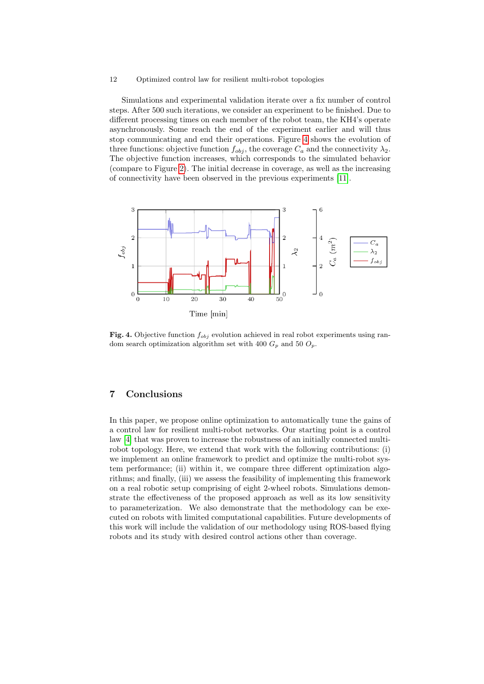Simulations and experimental validation iterate over a fix number of control steps. After 500 such iterations, we consider an experiment to be finished. Due to different processing times on each member of the robot team, the KH4's operate asynchronously. Some reach the end of the experiment earlier and will thus stop communicating and end their operations. Figure [4](#page-11-1) shows the evolution of three functions: objective function  $f_{obj}$ , the coverage  $C_a$  and the connectivity  $\lambda_2$ . The objective function increases, which corresponds to the simulated behavior (compare to Figure [2\)](#page-10-0). The initial decrease in coverage, as well as the increasing of connectivity have been observed in the previous experiments [\[11\]](#page-12-5).



<span id="page-11-1"></span>Fig. 4. Objective function  $f_{obj}$  evolution achieved in real robot experiments using random search optimization algorithm set with 400  $G_p$  and 50  $O_p$ .

# <span id="page-11-0"></span>7 Conclusions

In this paper, we propose online optimization to automatically tune the gains of a control law for resilient multi-robot networks. Our starting point is a control law [\[4\]](#page-12-4) that was proven to increase the robustness of an initially connected multirobot topology. Here, we extend that work with the following contributions: (i) we implement an online framework to predict and optimize the multi-robot system performance; (ii) within it, we compare three different optimization algorithms; and finally, (iii) we assess the feasibility of implementing this framework on a real robotic setup comprising of eight 2-wheel robots. Simulations demonstrate the effectiveness of the proposed approach as well as its low sensitivity to parameterization. We also demonstrate that the methodology can be executed on robots with limited computational capabilities. Future developments of this work will include the validation of our methodology using ROS-based flying robots and its study with desired control actions other than coverage.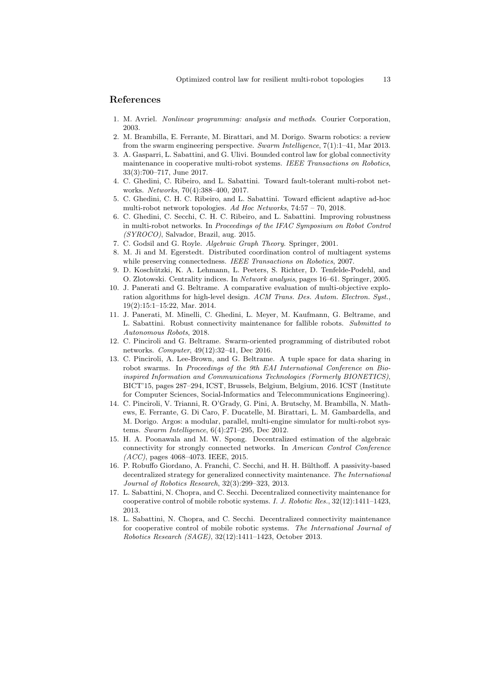# References

- <span id="page-12-14"></span>1. M. Avriel. Nonlinear programming: analysis and methods. Courier Corporation, 2003.
- <span id="page-12-12"></span>2. M. Brambilla, E. Ferrante, M. Birattari, and M. Dorigo. Swarm robotics: a review from the swarm engineering perspective. Swarm Intelligence,  $7(1):1-41$ , Mar 2013.
- <span id="page-12-0"></span>3. A. Gasparri, L. Sabattini, and G. Ulivi. Bounded control law for global connectivity maintenance in cooperative multi-robot systems. IEEE Transactions on Robotics, 33(3):700–717, June 2017.
- <span id="page-12-4"></span>4. C. Ghedini, C. Ribeiro, and L. Sabattini. Toward fault-tolerant multi-robot networks. Networks, 70(4):388–400, 2017.
- <span id="page-12-11"></span>5. C. Ghedini, C. H. C. Ribeiro, and L. Sabattini. Toward efficient adaptive ad-hoc multi-robot network topologies. Ad Hoc Networks, 74:57 – 70, 2018.
- <span id="page-12-8"></span>6. C. Ghedini, C. Secchi, C. H. C. Ribeiro, and L. Sabattini. Improving robustness in multi-robot networks. In Proceedings of the IFAC Symposium on Robot Control (SYROCO), Salvador, Brazil, aug. 2015.
- <span id="page-12-6"></span>7. C. Godsil and G. Royle. Algebraic Graph Theory. Springer, 2001.
- <span id="page-12-1"></span>8. M. Ji and M. Egerstedt. Distributed coordination control of multiagent systems while preserving connectedness. IEEE Transactions on Robotics, 2007.
- <span id="page-12-7"></span>9. D. Koschützki, K. A. Lehmann, L. Peeters, S. Richter, D. Tenfelde-Podehl, and O. Zlotowski. Centrality indices. In Network analysis, pages 16–61. Springer, 2005.
- <span id="page-12-13"></span>10. J. Panerati and G. Beltrame. A comparative evaluation of multi-objective exploration algorithms for high-level design. ACM Trans. Des. Autom. Electron. Syst., 19(2):15:1–15:22, Mar. 2014.
- <span id="page-12-5"></span>11. J. Panerati, M. Minelli, C. Ghedini, L. Meyer, M. Kaufmann, G. Beltrame, and L. Sabattini. Robust connectivity maintenance for fallible robots. Submitted to Autonomous Robots, 2018.
- <span id="page-12-16"></span>12. C. Pinciroli and G. Beltrame. Swarm-oriented programming of distributed robot networks. Computer, 49(12):32–41, Dec 2016.
- <span id="page-12-15"></span>13. C. Pinciroli, A. Lee-Brown, and G. Beltrame. A tuple space for data sharing in robot swarms. In Proceedings of the 9th EAI International Conference on Bioinspired Information and Communications Technologies (Formerly BIONETICS), BICT'15, pages 287–294, ICST, Brussels, Belgium, Belgium, 2016. ICST (Institute for Computer Sciences, Social-Informatics and Telecommunications Engineering).
- <span id="page-12-17"></span>14. C. Pinciroli, V. Trianni, R. O'Grady, G. Pini, A. Brutschy, M. Brambilla, N. Mathews, E. Ferrante, G. Di Caro, F. Ducatelle, M. Birattari, L. M. Gambardella, and M. Dorigo. Argos: a modular, parallel, multi-engine simulator for multi-robot systems. Swarm Intelligence, 6(4):271–295, Dec 2012.
- <span id="page-12-2"></span>15. H. A. Poonawala and M. W. Spong. Decentralized estimation of the algebraic connectivity for strongly connected networks. In American Control Conference (ACC), pages 4068–4073. IEEE, 2015.
- <span id="page-12-10"></span>16. P. Robuffo Giordano, A. Franchi, C. Secchi, and H. H. Bülthoff. A passivity-based decentralized strategy for generalized connectivity maintenance. The International Journal of Robotics Research, 32(3):299–323, 2013.
- <span id="page-12-3"></span>17. L. Sabattini, N. Chopra, and C. Secchi. Decentralized connectivity maintenance for cooperative control of mobile robotic systems. I. J. Robotic Res., 32(12):1411–1423, 2013.
- <span id="page-12-9"></span>18. L. Sabattini, N. Chopra, and C. Secchi. Decentralized connectivity maintenance for cooperative control of mobile robotic systems. The International Journal of Robotics Research (SAGE), 32(12):1411–1423, October 2013.